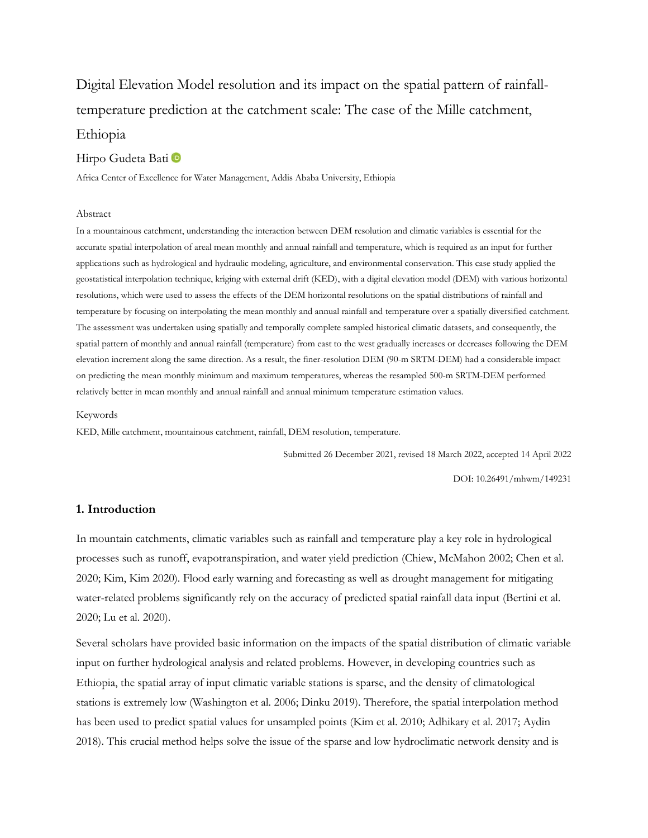# Digital Elevation Model resolution and its impact on the spatial pattern of rainfalltemperature prediction at the catchment scale: The case of the Mille catchment, Ethiopia

## Hirpo Gudeta Bati

Africa Center of Excellence for Water Management, Addis Ababa University, Ethiopia

#### Abstract

In a mountainous catchment, understanding the interaction between DEM resolution and climatic variables is essential for the accurate spatial interpolation of areal mean monthly and annual rainfall and temperature, which is required as an input for further applications such as hydrological and hydraulic modeling, agriculture, and environmental conservation. This case study applied the geostatistical interpolation technique, kriging with external drift (KED), with a digital elevation model (DEM) with various horizontal resolutions, which were used to assess the effects of the DEM horizontal resolutions on the spatial distributions of rainfall and temperature by focusing on interpolating the mean monthly and annual rainfall and temperature over a spatially diversified catchment. The assessment was undertaken using spatially and temporally complete sampled historical climatic datasets, and consequently, the spatial pattern of monthly and annual rainfall (temperature) from east to the west gradually increases or decreases following the DEM elevation increment along the same direction. As a result, the finer-resolution DEM (90-m SRTM-DEM) had a considerable impact on predicting the mean monthly minimum and maximum temperatures, whereas the resampled 500-m SRTM-DEM performed relatively better in mean monthly and annual rainfall and annual minimum temperature estimation values.

#### Keywords

KED, Mille catchment, mountainous catchment, rainfall, DEM resolution, temperature.

Submitted 26 December 2021, revised 18 March 2022, accepted 14 April 2022

DOI: 10.26491/mhwm/149231

## **1. Introduction**

In mountain catchments, climatic variables such as rainfall and temperature play a key role in hydrological processes such as runoff, evapotranspiration, and water yield prediction (Chiew, McMahon 2002; Chen et al. 2020; Kim, Kim 2020). Flood early warning and forecasting as well as drought management for mitigating water-related problems significantly rely on the accuracy of predicted spatial rainfall data input (Bertini et al. 2020; Lu et al. 2020).

Several scholars have provided basic information on the impacts of the spatial distribution of climatic variable input on further hydrological analysis and related problems. However, in developing countries such as Ethiopia, the spatial array of input climatic variable stations is sparse, and the density of climatological stations is extremely low (Washington et al. 2006; Dinku 2019). Therefore, the spatial interpolation method has been used to predict spatial values for unsampled points (Kim et al. 2010; Adhikary et al. 2017; Aydin 2018). This crucial method helps solve the issue of the sparse and low hydroclimatic network density and is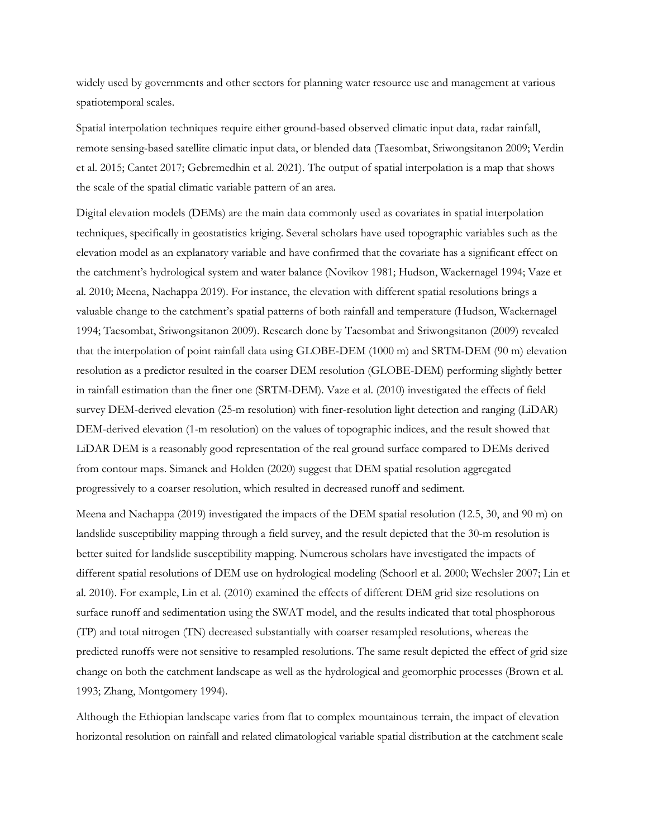widely used by governments and other sectors for planning water resource use and management at various spatiotemporal scales.

Spatial interpolation techniques require either ground-based observed climatic input data, radar rainfall, remote sensing-based satellite climatic input data, or blended data (Taesombat, Sriwongsitanon 2009; Verdin et al. 2015; Cantet 2017; Gebremedhin et al. 2021). The output of spatial interpolation is a map that shows the scale of the spatial climatic variable pattern of an area.

Digital elevation models (DEMs) are the main data commonly used as covariates in spatial interpolation techniques, specifically in geostatistics kriging. Several scholars have used topographic variables such as the elevation model as an explanatory variable and have confirmed that the covariate has a significant effect on the catchment's hydrological system and water balance (Novikov 1981; Hudson, Wackernagel 1994; Vaze et al. 2010; Meena, Nachappa 2019). For instance, the elevation with different spatial resolutions brings a valuable change to the catchment's spatial patterns of both rainfall and temperature (Hudson, Wackernagel 1994; Taesombat, Sriwongsitanon 2009). Research done by Taesombat and Sriwongsitanon (2009) revealed that the interpolation of point rainfall data using GLOBE-DEM (1000 m) and SRTM-DEM (90 m) elevation resolution as a predictor resulted in the coarser DEM resolution (GLOBE-DEM) performing slightly better in rainfall estimation than the finer one (SRTM-DEM). Vaze et al. (2010) investigated the effects of field survey DEM-derived elevation (25-m resolution) with finer-resolution light detection and ranging (LiDAR) DEM-derived elevation (1-m resolution) on the values of topographic indices, and the result showed that LiDAR DEM is a reasonably good representation of the real ground surface compared to DEMs derived from contour maps. Simanek and Holden (2020) suggest that DEM spatial resolution aggregated progressively to a coarser resolution, which resulted in decreased runoff and sediment.

Meena and Nachappa (2019) investigated the impacts of the DEM spatial resolution (12.5, 30, and 90 m) on landslide susceptibility mapping through a field survey, and the result depicted that the 30-m resolution is better suited for landslide susceptibility mapping. Numerous scholars have investigated the impacts of different spatial resolutions of DEM use on hydrological modeling (Schoorl et al. 2000; Wechsler 2007; Lin et al. 2010). For example, Lin et al. (2010) examined the effects of different DEM grid size resolutions on surface runoff and sedimentation using the SWAT model, and the results indicated that total phosphorous (TP) and total nitrogen (TN) decreased substantially with coarser resampled resolutions, whereas the predicted runoffs were not sensitive to resampled resolutions. The same result depicted the effect of grid size change on both the catchment landscape as well as the hydrological and geomorphic processes (Brown et al. 1993; Zhang, Montgomery 1994).

Although the Ethiopian landscape varies from flat to complex mountainous terrain, the impact of elevation horizontal resolution on rainfall and related climatological variable spatial distribution at the catchment scale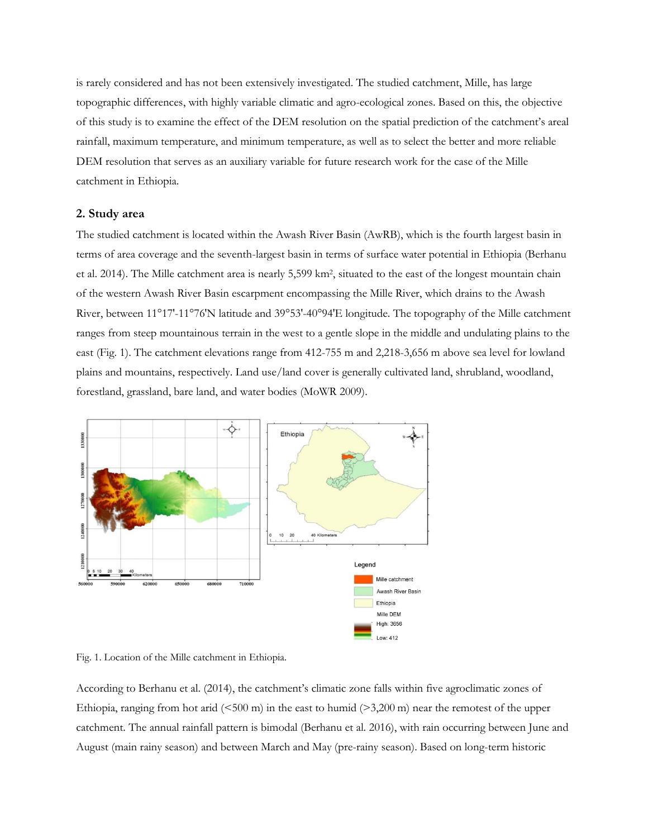is rarely considered and has not been extensively investigated. The studied catchment, Mille, has large topographic differences, with highly variable climatic and agro-ecological zones. Based on this, the objective of this study is to examine the effect of the DEM resolution on the spatial prediction of the catchment's areal rainfall, maximum temperature, and minimum temperature, as well as to select the better and more reliable DEM resolution that serves as an auxiliary variable for future research work for the case of the Mille catchment in Ethiopia.

#### **2. Study area**

The studied catchment is located within the Awash River Basin (AwRB), which is the fourth largest basin in terms of area coverage and the seventh-largest basin in terms of surface water potential in Ethiopia (Berhanu et al. 2014). The Mille catchment area is nearly 5,599 km<sup>2</sup> , situated to the east of the longest mountain chain of the western Awash River Basin escarpment encompassing the Mille River, which drains to the Awash River, between 11°17'-11°76'N latitude and 39°53'-40°94'E longitude. The topography of the Mille catchment ranges from steep mountainous terrain in the west to a gentle slope in the middle and undulating plains to the east (Fig. 1). The catchment elevations range from 412-755 m and 2,218-3,656 m above sea level for lowland plains and mountains, respectively. Land use/land cover is generally cultivated land, shrubland, woodland, forestland, grassland, bare land, and water bodies (MoWR 2009).



Fig. 1. Location of the Mille catchment in Ethiopia.

According to Berhanu et al. (2014), the catchment's climatic zone falls within five agroclimatic zones of Ethiopia, ranging from hot arid  $(\leq 500 \text{ m})$  in the east to humid  $(\geq 3,200 \text{ m})$  near the remotest of the upper catchment. The annual rainfall pattern is bimodal (Berhanu et al. 2016), with rain occurring between June and August (main rainy season) and between March and May (pre-rainy season). Based on long-term historic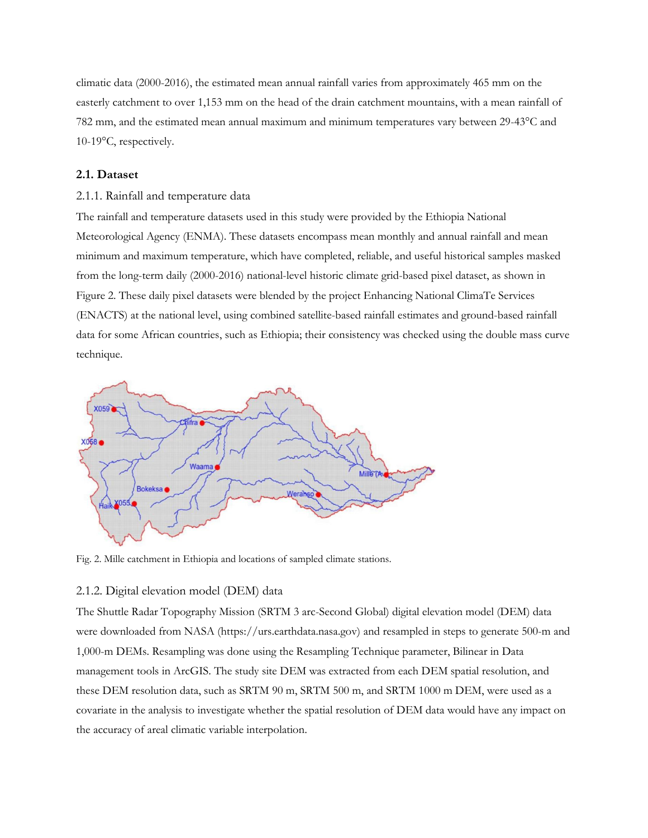climatic data (2000-2016), the estimated mean annual rainfall varies from approximately 465 mm on the easterly catchment to over 1,153 mm on the head of the drain catchment mountains, with a mean rainfall of 782 mm, and the estimated mean annual maximum and minimum temperatures vary between 29-43°C and 10-19°C, respectively.

# **2.1. Dataset**

## 2.1.1. Rainfall and temperature data

The rainfall and temperature datasets used in this study were provided by the Ethiopia National Meteorological Agency (ENMA). These datasets encompass mean monthly and annual rainfall and mean minimum and maximum temperature, which have completed, reliable, and useful historical samples masked from the long-term daily (2000-2016) national-level historic climate grid-based pixel dataset, as shown in Figure 2. These daily pixel datasets were blended by the project Enhancing National ClimaTe Services (ENACTS) at the national level, using combined satellite-based rainfall estimates and ground-based rainfall data for some African countries, such as Ethiopia; their consistency was checked using the double mass curve technique.



Fig. 2. Mille catchment in Ethiopia and locations of sampled climate stations.

#### 2.1.2. Digital elevation model (DEM) data

The Shuttle Radar Topography Mission (SRTM 3 arc-Second Global) digital elevation model (DEM) data were downloaded from NASA [\(https://urs.earthdata.nasa.gov\)](https://urs.earthdata.nasa.gov/) and resampled in steps to generate 500-m and 1,000-m DEMs. Resampling was done using the Resampling Technique parameter, Bilinear in Data management tools in ArcGIS. The study site DEM was extracted from each DEM spatial resolution, and these DEM resolution data, such as SRTM 90 m, SRTM 500 m, and SRTM 1000 m DEM, were used as a covariate in the analysis to investigate whether the spatial resolution of DEM data would have any impact on the accuracy of areal climatic variable interpolation.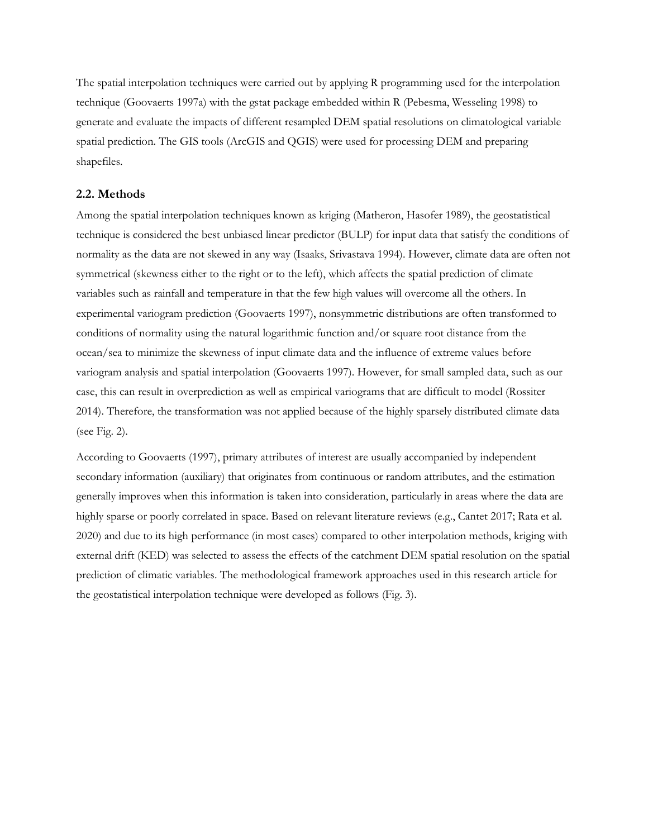The spatial interpolation techniques were carried out by applying R programming used for the interpolation technique (Goovaerts 1997a) with the gstat package embedded within R (Pebesma, Wesseling 1998) to generate and evaluate the impacts of different resampled DEM spatial resolutions on climatological variable spatial prediction. The GIS tools (ArcGIS and QGIS) were used for processing DEM and preparing shapefiles.

#### **2.2. Methods**

Among the spatial interpolation techniques known as kriging (Matheron, Hasofer 1989), the geostatistical technique is considered the best unbiased linear predictor (BULP) for input data that satisfy the conditions of normality as the data are not skewed in any way (Isaaks, Srivastava 1994). However, climate data are often not symmetrical (skewness either to the right or to the left), which affects the spatial prediction of climate variables such as rainfall and temperature in that the few high values will overcome all the others. In experimental variogram prediction (Goovaerts 1997), nonsymmetric distributions are often transformed to conditions of normality using the natural logarithmic function and/or square root distance from the ocean/sea to minimize the skewness of input climate data and the influence of extreme values before variogram analysis and spatial interpolation (Goovaerts 1997). However, for small sampled data, such as our case, this can result in overprediction as well as empirical variograms that are difficult to model (Rossiter 2014). Therefore, the transformation was not applied because of the highly sparsely distributed climate data (see Fig. 2).

According to Goovaerts (1997), primary attributes of interest are usually accompanied by independent secondary information (auxiliary) that originates from continuous or random attributes, and the estimation generally improves when this information is taken into consideration, particularly in areas where the data are highly sparse or poorly correlated in space. Based on relevant literature reviews (e.g., Cantet 2017; Rata et al. 2020) and due to its high performance (in most cases) compared to other interpolation methods, kriging with external drift (KED) was selected to assess the effects of the catchment DEM spatial resolution on the spatial prediction of climatic variables. The methodological framework approaches used in this research article for the geostatistical interpolation technique were developed as follows (Fig. 3).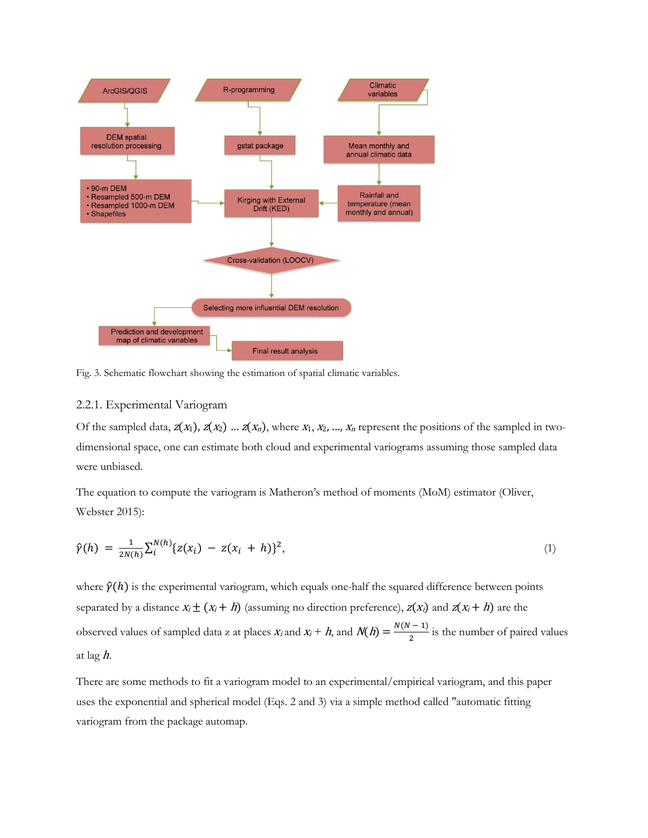

Fig. 3. Schematic flowchart showing the estimation of spatial climatic variables.

## 2.2.1. Experimental Variogram

Of the sampled data,  $z(x_1)$ ,  $z(x_2)$  ...  $z(x_n)$ , where  $x_1, x_2, ..., x_n$  represent the positions of the sampled in twodimensional space, one can estimate both cloud and experimental variograms assuming those sampled data were unbiased.

The equation to compute the variogram is Matheron's method of moments (MoM) estimator (Oliver, Webster 2015):

$$
\hat{\gamma}(h) = \frac{1}{2N(h)} \sum_{i}^{N(h)} \{z(x_i) - z(x_i + h)\}^2, \tag{1}
$$

where  $\hat{p}(h)$  is the experimental variogram, which equals one-half the squared difference between points separated by a distance  $x_i \pm (x_i + h)$  (assuming no direction preference),  $z(x_i)$  and  $z(x_i + h)$  are the observed values of sampled data z at places  $x_i$  and  $x_i + h$ , and  $N(h) = \frac{N(N-1)}{2}$  is the number of paired values at lag h.

There are some methods to fit a variogram model to an experimental/empirical variogram, and this paper uses the exponential and spherical model (Eqs. 2 and 3) via a simple method called "automatic fitting variogram from the package automap.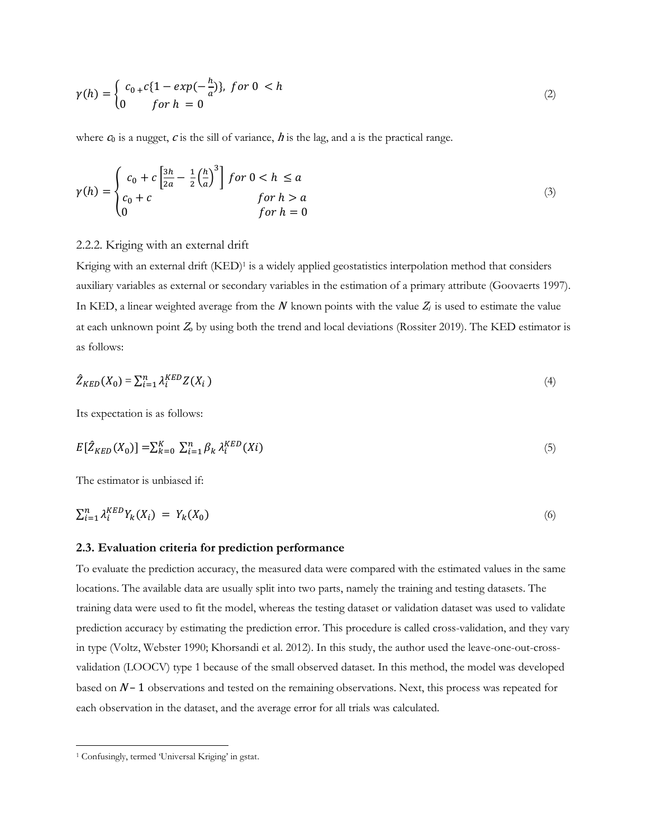$$
\gamma(h) = \begin{cases} c_0 + c\{1 - exp(-\frac{h}{a})\}, & \text{for } 0 < h \\ 0 & \text{for } h = 0 \end{cases}
$$
 (2)

where  $c_0$  is a nugget,  $c$  is the sill of variance,  $h$  is the lag, and a is the practical range.

$$
\gamma(h) = \begin{cases}\nc_0 + c \left[\frac{3h}{2a} - \frac{1}{2}\left(\frac{h}{a}\right)^3\right] & \text{for } 0 < h \le a \\
c_0 + c & \text{for } h > a \\
0 & \text{for } h = 0\n\end{cases}\n\tag{3}
$$

## 2.2.2. Kriging with an external drift

Kriging with an external drift (KED) 1 is a widely applied geostatistics interpolation method that considers auxiliary variables as external or secondary variables in the estimation of a primary attribute (Goovaerts 1997). In KED, a linear weighted average from the N known points with the value  $Z_i$  is used to estimate the value at each unknown point  $Z_0$  by using both the trend and local deviations (Rossiter 2019). The KED estimator is as follows:

$$
\hat{Z}_{KED}(X_0) = \sum_{i=1}^{n} \lambda_i^{KED} Z(X_i)
$$
\n<sup>(4)</sup>

Its expectation is as follows:

$$
E[\hat{Z}_{KED}(X_0)] = \sum_{k=0}^{K} \sum_{i=1}^{n} \beta_k \lambda_i^{KED}(Xi)
$$
\n<sup>(5)</sup>

The estimator is unbiased if:

$$
\sum_{i=1}^{n} \lambda_i^{KED} Y_k(X_i) = Y_k(X_0) \tag{6}
$$

## **2.3. Evaluation criteria for prediction performance**

To evaluate the prediction accuracy, the measured data were compared with the estimated values in the same locations. The available data are usually split into two parts, namely the training and testing datasets. The training data were used to fit the model, whereas the testing dataset or validation dataset was used to validate prediction accuracy by estimating the prediction error. This procedure is called cross-validation, and they vary in type (Voltz, Webster 1990; Khorsandi et al. 2012). In this study, the author used the leave-one-out-crossvalidation (LOOCV) type 1 because of the small observed dataset. In this method, the model was developed based on  $N-1$  observations and tested on the remaining observations. Next, this process was repeated for each observation in the dataset, and the average error for all trials was calculated.

<sup>1</sup> Confusingly, termed 'Universal Kriging' in gstat.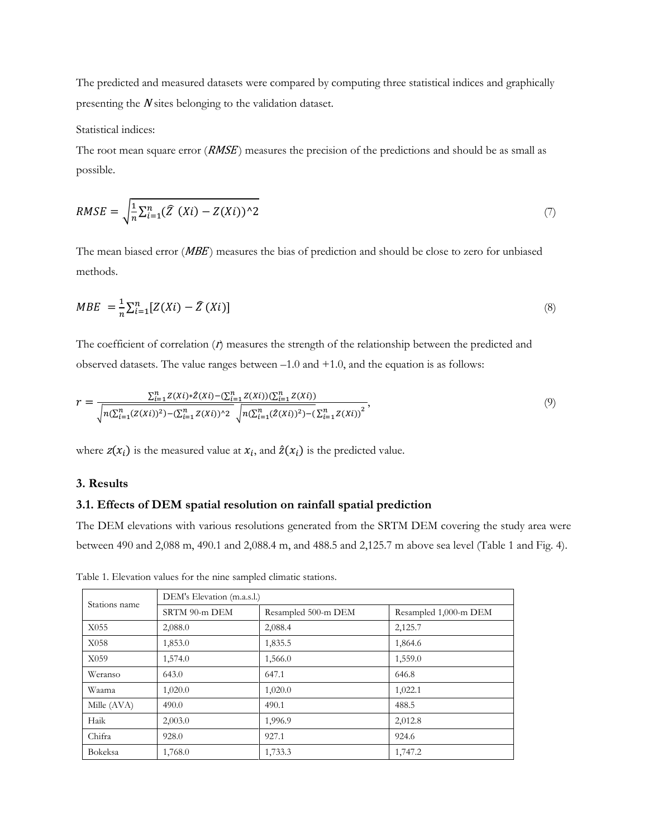The predicted and measured datasets were compared by computing three statistical indices and graphically presenting the <sup>N</sup> sites belonging to the validation dataset.

Statistical indices:

The root mean square error  $(RMSE)$  measures the precision of the predictions and should be as small as possible.

$$
RMSE = \sqrt{\frac{1}{n} \sum_{i=1}^{n} (\widehat{Z} \ (Xi) - Z(Xi))^2}
$$
 (7)

The mean biased error (*MBE*) measures the bias of prediction and should be close to zero for unbiased methods.

$$
MBE = \frac{1}{n} \sum_{i=1}^{n} [Z(Xi) - \widehat{Z}(Xi)] \tag{8}
$$

The coefficient of correlation  $(t)$  measures the strength of the relationship between the predicted and observed datasets. The value ranges between –1.0 and +1.0, and the equation is as follows:

$$
r = \frac{\sum_{i=1}^{n} Z(Xi) * \hat{Z}(Xi) - (\sum_{i=1}^{n} Z(Xi))(\sum_{i=1}^{n} Z(Xi))}{\sqrt{n(\sum_{i=1}^{n} (Z(Xi))^2) - (\sum_{i=1}^{n} Z(Xi))^2} \sqrt{n(\sum_{i=1}^{n} (\hat{Z}(Xi))^2) - (\sum_{i=1}^{n} Z(Xi))^2}},
$$
\n(9)

where  $z(x_i)$  is the measured value at  $x_i$ , and  $\hat{z}(x_i)$  is the predicted value.

# **3. Results**

### **3.1. Effects of DEM spatial resolution on rainfall spatial prediction**

The DEM elevations with various resolutions generated from the SRTM DEM covering the study area were between 490 and 2,088 m, 490.1 and 2,088.4 m, and 488.5 and 2,125.7 m above sea level (Table 1 and Fig. 4).

| Stations name | DEM's Elevation (m.a.s.l.) |                     |                       |  |  |  |  |  |  |  |
|---------------|----------------------------|---------------------|-----------------------|--|--|--|--|--|--|--|
|               | SRTM 90-m DEM              | Resampled 500-m DEM | Resampled 1,000-m DEM |  |  |  |  |  |  |  |
| X055          | 2,088.0                    | 2,088.4             | 2,125.7               |  |  |  |  |  |  |  |
| X058          | 1,853.0                    | 1,835.5             | 1,864.6               |  |  |  |  |  |  |  |
| X059          | 1,574.0                    | 1,566.0             | 1,559.0               |  |  |  |  |  |  |  |
| Weranso       | 643.0                      | 647.1               | 646.8                 |  |  |  |  |  |  |  |
| Waama         | 1,020.0                    | 1,020.0             | 1,022.1               |  |  |  |  |  |  |  |
| Mille (AVA)   | 490.0                      | 490.1               | 488.5                 |  |  |  |  |  |  |  |
| Haik          | 2,003.0                    | 1,996.9             | 2,012.8               |  |  |  |  |  |  |  |
| Chifra        | 928.0                      | 927.1               | 924.6                 |  |  |  |  |  |  |  |
| Bokeksa       | 1,768.0                    | 1,733.3             | 1,747.2               |  |  |  |  |  |  |  |

Table 1. Elevation values for the nine sampled climatic stations.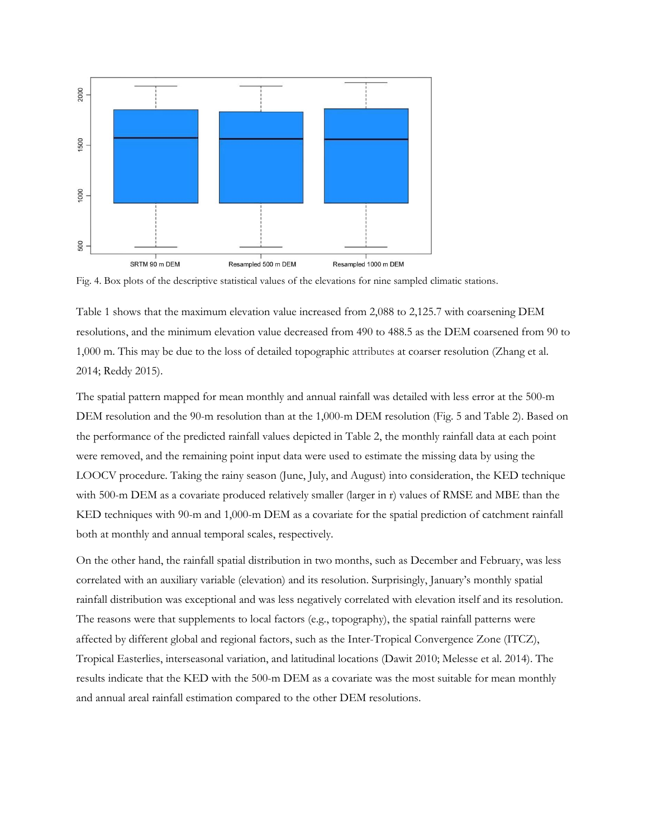

Fig. 4. Box plots of the descriptive statistical values of the elevations for nine sampled climatic stations.

Table 1 shows that the maximum elevation value increased from 2,088 to 2,125.7 with coarsening DEM resolutions, and the minimum elevation value decreased from 490 to 488.5 as the DEM coarsened from 90 to 1,000 m. This may be due to the loss of detailed topographic attributes at coarser resolution (Zhang et al. 2014; Reddy 2015).

The spatial pattern mapped for mean monthly and annual rainfall was detailed with less error at the 500-m DEM resolution and the 90-m resolution than at the 1,000-m DEM resolution (Fig. 5 and Table 2). Based on the performance of the predicted rainfall values depicted in Table 2, the monthly rainfall data at each point were removed, and the remaining point input data were used to estimate the missing data by using the LOOCV procedure. Taking the rainy season (June, July, and August) into consideration, the KED technique with 500-m DEM as a covariate produced relatively smaller (larger in r) values of RMSE and MBE than the KED techniques with 90-m and 1,000-m DEM as a covariate for the spatial prediction of catchment rainfall both at monthly and annual temporal scales, respectively.

On the other hand, the rainfall spatial distribution in two months, such as December and February, was less correlated with an auxiliary variable (elevation) and its resolution. Surprisingly, January's monthly spatial rainfall distribution was exceptional and was less negatively correlated with elevation itself and its resolution. The reasons were that supplements to local factors (e.g., topography), the spatial rainfall patterns were affected by different global and regional factors, such as the Inter-Tropical Convergence Zone (ITCZ), Tropical Easterlies, interseasonal variation, and latitudinal locations (Dawit 2010; Melesse et al. 2014). The results indicate that the KED with the 500-m DEM as a covariate was the most suitable for mean monthly and annual areal rainfall estimation compared to the other DEM resolutions.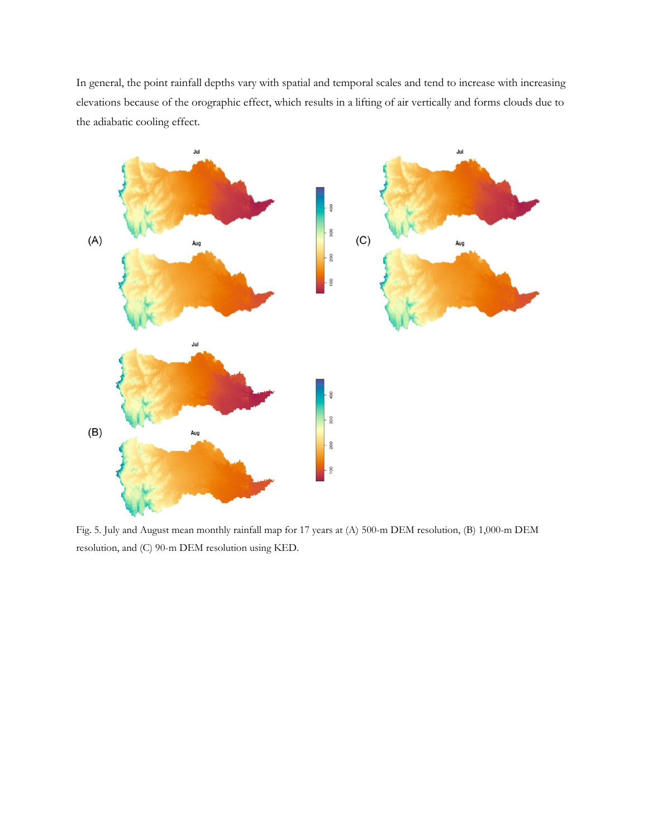In general, the point rainfall depths vary with spatial and temporal scales and tend to increase with increasing elevations because of the orographic effect, which results in a lifting of air vertically and forms clouds due to the adiabatic cooling effect.



Fig. 5. July and August mean monthly rainfall map for 17 years at (A) 500-m DEM resolution, (B) 1,000-m DEM resolution, and (C) 90-m DEM resolution using KED.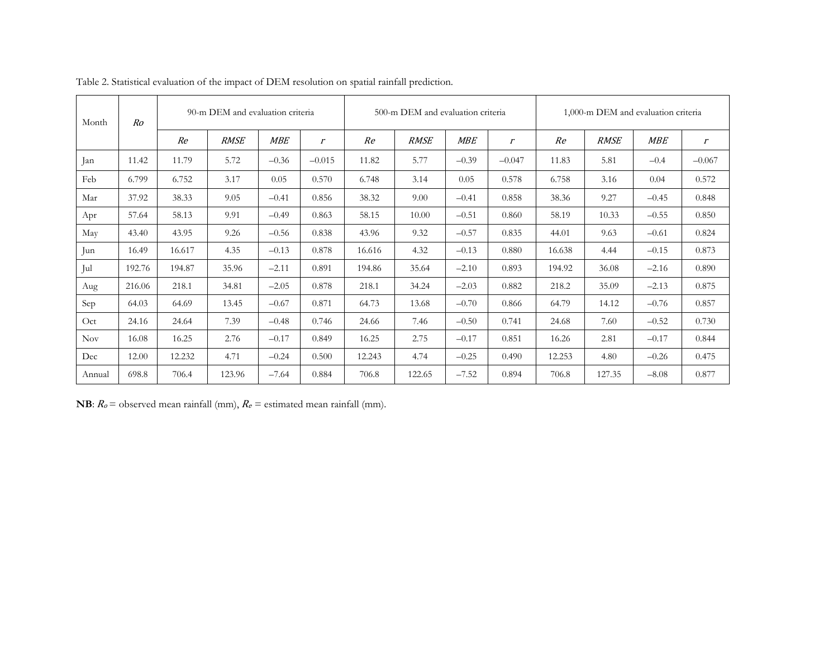| Month      | Ro     |        | 90-m DEM and evaluation criteria |            |          |        | 500-m DEM and evaluation criteria |            |                | 1,000-m DEM and evaluation criteria |             |            |                             |
|------------|--------|--------|----------------------------------|------------|----------|--------|-----------------------------------|------------|----------------|-------------------------------------|-------------|------------|-----------------------------|
|            |        | Re     | <b>RMSE</b>                      | <b>MBE</b> | $\Gamma$ | Re     | <b>RMSE</b>                       | <b>MBE</b> | $\mathfrak{r}$ | Re                                  | <b>RMSE</b> | <b>MBE</b> | $\mathcal{L}_{\mathcal{L}}$ |
| Jan        | 11.42  | 11.79  | 5.72                             | $-0.36$    | $-0.015$ | 11.82  | 5.77                              | $-0.39$    | $-0.047$       | 11.83                               | 5.81        | $-0.4$     | $-0.067$                    |
| Feb        | 6.799  | 6.752  | 3.17                             | 0.05       | 0.570    | 6.748  | 3.14                              | 0.05       | 0.578          | 6.758                               | 3.16        | 0.04       | 0.572                       |
| Mar        | 37.92  | 38.33  | 9.05                             | $-0.41$    | 0.856    | 38.32  | 9.00                              | $-0.41$    | 0.858          | 38.36                               | 9.27        | $-0.45$    | 0.848                       |
| Apr        | 57.64  | 58.13  | 9.91                             | $-0.49$    | 0.863    | 58.15  | 10.00                             | $-0.51$    | 0.860          | 58.19                               | 10.33       | $-0.55$    | 0.850                       |
| May        | 43.40  | 43.95  | 9.26                             | $-0.56$    | 0.838    | 43.96  | 9.32                              | $-0.57$    | 0.835          | 44.01                               | 9.63        | $-0.61$    | 0.824                       |
| Jun        | 16.49  | 16.617 | 4.35                             | $-0.13$    | 0.878    | 16.616 | 4.32                              | $-0.13$    | 0.880          | 16.638                              | 4.44        | $-0.15$    | 0.873                       |
| Jul        | 192.76 | 194.87 | 35.96                            | $-2.11$    | 0.891    | 194.86 | 35.64                             | $-2.10$    | 0.893          | 194.92                              | 36.08       | $-2.16$    | 0.890                       |
| Aug        | 216.06 | 218.1  | 34.81                            | $-2.05$    | 0.878    | 218.1  | 34.24                             | $-2.03$    | 0.882          | 218.2                               | 35.09       | $-2.13$    | 0.875                       |
| Sep        | 64.03  | 64.69  | 13.45                            | $-0.67$    | 0.871    | 64.73  | 13.68                             | $-0.70$    | 0.866          | 64.79                               | 14.12       | $-0.76$    | 0.857                       |
| Oct        | 24.16  | 24.64  | 7.39                             | $-0.48$    | 0.746    | 24.66  | 7.46                              | $-0.50$    | 0.741          | 24.68                               | 7.60        | $-0.52$    | 0.730                       |
| <b>Nov</b> | 16.08  | 16.25  | 2.76                             | $-0.17$    | 0.849    | 16.25  | 2.75                              | $-0.17$    | 0.851          | 16.26                               | 2.81        | $-0.17$    | 0.844                       |
| Dec        | 12.00  | 12.232 | 4.71                             | $-0.24$    | 0.500    | 12.243 | 4.74                              | $-0.25$    | 0.490          | 12.253                              | 4.80        | $-0.26$    | 0.475                       |
| Annual     | 698.8  | 706.4  | 123.96                           | $-7.64$    | 0.884    | 706.8  | 122.65                            | $-7.52$    | 0.894          | 706.8                               | 127.35      | $-8.08$    | 0.877                       |

Table 2. Statistical evaluation of the impact of DEM resolution on spatial rainfall prediction.

**NB**:  $R_o$  = observed mean rainfall (mm),  $R_e$  = estimated mean rainfall (mm).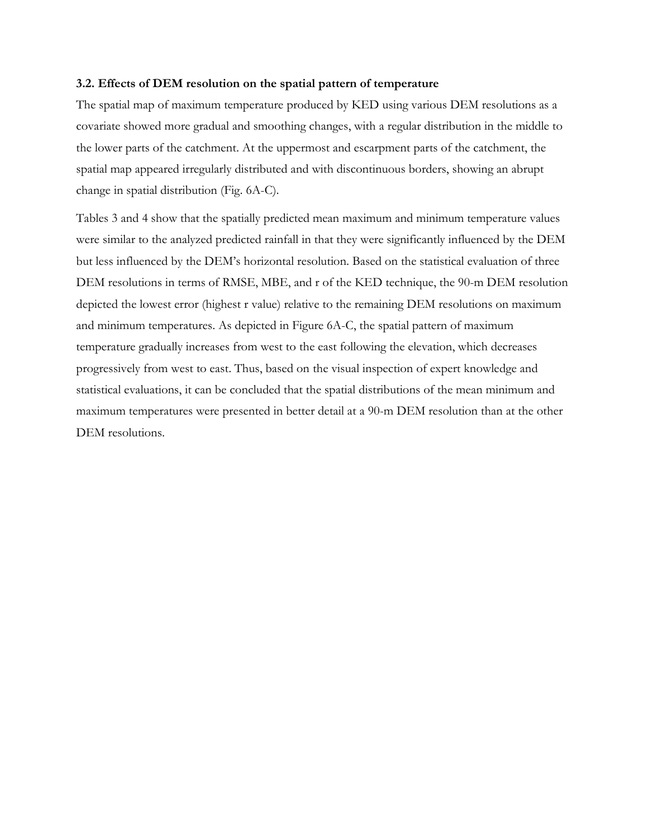## **3.2. Effects of DEM resolution on the spatial pattern of temperature**

The spatial map of maximum temperature produced by KED using various DEM resolutions as a covariate showed more gradual and smoothing changes, with a regular distribution in the middle to the lower parts of the catchment. At the uppermost and escarpment parts of the catchment, the spatial map appeared irregularly distributed and with discontinuous borders, showing an abrupt change in spatial distribution (Fig. 6A-C).

Tables 3 and 4 show that the spatially predicted mean maximum and minimum temperature values were similar to the analyzed predicted rainfall in that they were significantly influenced by the DEM but less influenced by the DEM's horizontal resolution. Based on the statistical evaluation of three DEM resolutions in terms of RMSE, MBE, and r of the KED technique, the 90-m DEM resolution depicted the lowest error (highest r value) relative to the remaining DEM resolutions on maximum and minimum temperatures. As depicted in Figure 6A-C, the spatial pattern of maximum temperature gradually increases from west to the east following the elevation, which decreases progressively from west to east. Thus, based on the visual inspection of expert knowledge and statistical evaluations, it can be concluded that the spatial distributions of the mean minimum and maximum temperatures were presented in better detail at a 90-m DEM resolution than at the other DEM resolutions.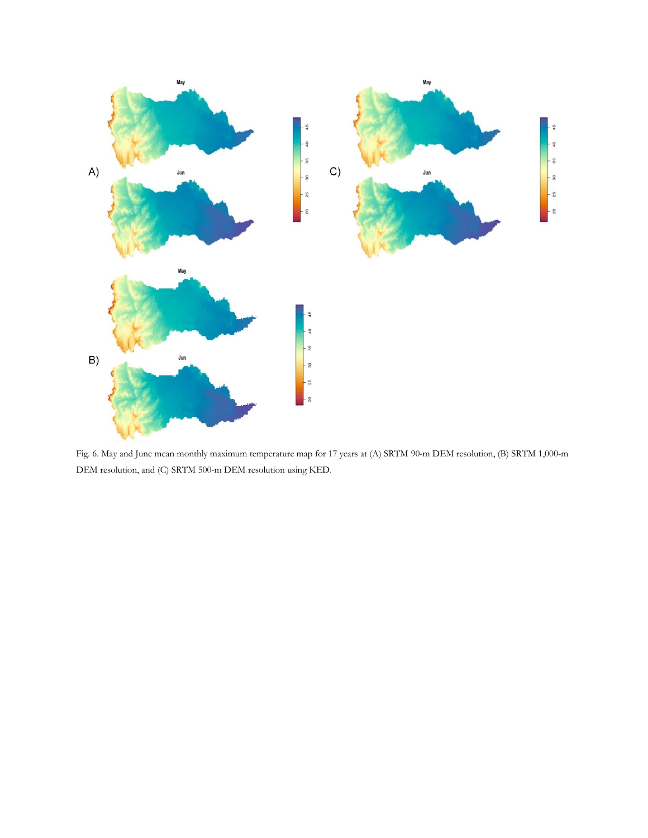

Fig. 6. May and June mean monthly maximum temperature map for 17 years at (A) SRTM 90-m DEM resolution, (B) SRTM 1,000-m DEM resolution, and (C) SRTM 500-m DEM resolution using KED.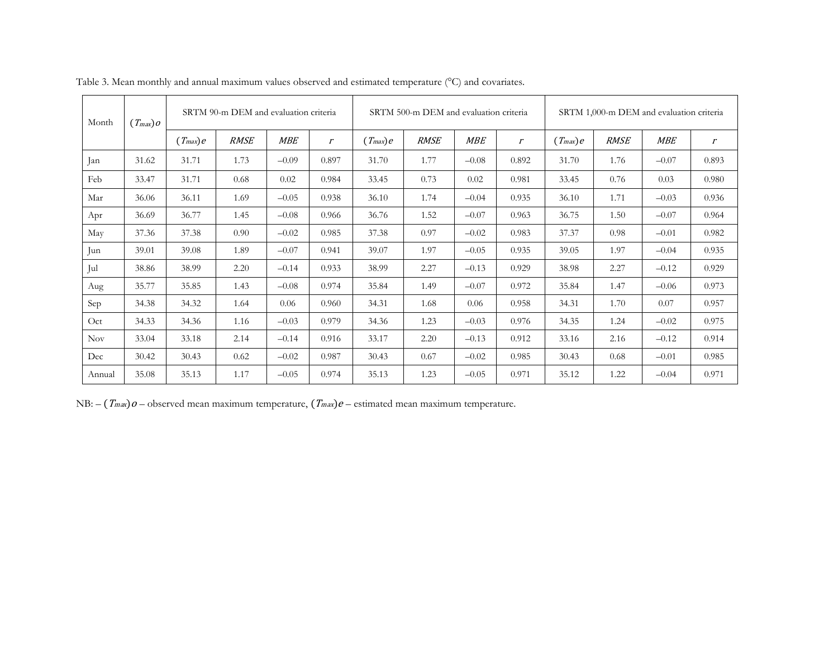| Month      | $(T_{max})$ $o$ |              | SRTM 90-m DEM and evaluation criteria |            |                             |              | SRTM 500-m DEM and evaluation criteria |            |                | SRTM 1,000-m DEM and evaluation criteria |             |            |                             |
|------------|-----------------|--------------|---------------------------------------|------------|-----------------------------|--------------|----------------------------------------|------------|----------------|------------------------------------------|-------------|------------|-----------------------------|
|            |                 | $(T_{max})e$ | <b>RMSE</b>                           | <b>MBE</b> | $\mathcal{L}_{\mathcal{L}}$ | $(T_{max})e$ | <b>RMSE</b>                            | <b>MBE</b> | $\mathfrak{r}$ | $(T_{max})e$                             | <b>RMSE</b> | <b>MBE</b> | $\mathcal{L}_{\mathcal{L}}$ |
| Jan        | 31.62           | 31.71        | 1.73                                  | $-0.09$    | 0.897                       | 31.70        | 1.77                                   | $-0.08$    | 0.892          | 31.70                                    | 1.76        | $-0.07$    | 0.893                       |
| Feb        | 33.47           | 31.71        | 0.68                                  | 0.02       | 0.984                       | 33.45        | 0.73                                   | 0.02       | 0.981          | 33.45                                    | 0.76        | 0.03       | 0.980                       |
| Mar        | 36.06           | 36.11        | 1.69                                  | $-0.05$    | 0.938                       | 36.10        | 1.74                                   | $-0.04$    | 0.935          | 36.10                                    | 1.71        | $-0.03$    | 0.936                       |
| Apr        | 36.69           | 36.77        | 1.45                                  | $-0.08$    | 0.966                       | 36.76        | 1.52                                   | $-0.07$    | 0.963          | 36.75                                    | 1.50        | $-0.07$    | 0.964                       |
| May        | 37.36           | 37.38        | 0.90 <sub>1</sub>                     | $-0.02$    | 0.985                       | 37.38        | 0.97                                   | $-0.02$    | 0.983          | 37.37                                    | 0.98        | $-0.01$    | 0.982                       |
| Jun        | 39.01           | 39.08        | 1.89                                  | $-0.07$    | 0.941                       | 39.07        | 1.97                                   | $-0.05$    | 0.935          | 39.05                                    | 1.97        | $-0.04$    | 0.935                       |
| Jul        | 38.86           | 38.99        | 2.20                                  | $-0.14$    | 0.933                       | 38.99        | 2.27                                   | $-0.13$    | 0.929          | 38.98                                    | 2.27        | $-0.12$    | 0.929                       |
| Aug        | 35.77           | 35.85        | 1.43                                  | $-0.08$    | 0.974                       | 35.84        | 1.49                                   | $-0.07$    | 0.972          | 35.84                                    | 1.47        | $-0.06$    | 0.973                       |
| Sep        | 34.38           | 34.32        | 1.64                                  | 0.06       | 0.960                       | 34.31        | 1.68                                   | 0.06       | 0.958          | 34.31                                    | 1.70        | 0.07       | 0.957                       |
| Oct        | 34.33           | 34.36        | 1.16                                  | $-0.03$    | 0.979                       | 34.36        | 1.23                                   | $-0.03$    | 0.976          | 34.35                                    | 1.24        | $-0.02$    | 0.975                       |
| <b>Nov</b> | 33.04           | 33.18        | 2.14                                  | $-0.14$    | 0.916                       | 33.17        | 2.20                                   | $-0.13$    | 0.912          | 33.16                                    | 2.16        | $-0.12$    | 0.914                       |
| Dec        | 30.42           | 30.43        | 0.62                                  | $-0.02$    | 0.987                       | 30.43        | 0.67                                   | $-0.02$    | 0.985          | 30.43                                    | 0.68        | $-0.01$    | 0.985                       |
| Annual     | 35.08           | 35.13        | 1.17                                  | $-0.05$    | 0.974                       | 35.13        | 1.23                                   | $-0.05$    | 0.971          | 35.12                                    | 1.22        | $-0.04$    | 0.971                       |

Table 3. Mean monthly and annual maximum values observed and estimated temperature (°C) and covariates.

NB:  $-(T_{max})o$  – observed mean maximum temperature,  $(T_{max})e$  – estimated mean maximum temperature.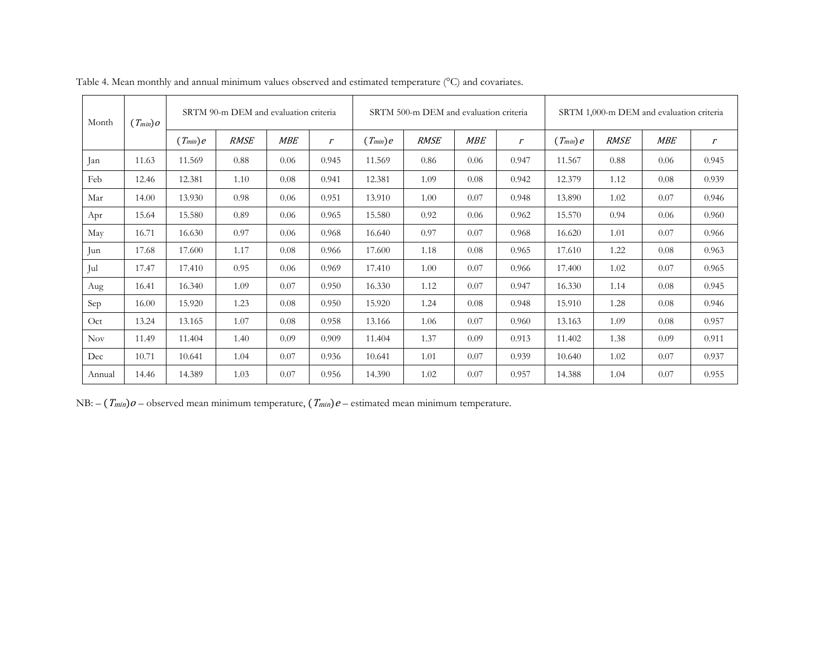| Month      | $(T_{min})$ $o$ |              | SRTM 90-m DEM and evaluation criteria |            |                             |              | SRTM 500-m DEM and evaluation criteria |            |                | SRTM 1,000-m DEM and evaluation criteria |             |            |                             |
|------------|-----------------|--------------|---------------------------------------|------------|-----------------------------|--------------|----------------------------------------|------------|----------------|------------------------------------------|-------------|------------|-----------------------------|
|            |                 | $(T_{min})e$ | <b>RMSE</b>                           | <b>MBE</b> | $\mathcal{L}_{\mathcal{L}}$ | $(T_{min})e$ | <b>RMSE</b>                            | <b>MBE</b> | $\mathfrak{r}$ | $(T_{min})e$                             | <b>RMSE</b> | <b>MBE</b> | $\mathcal{L}_{\mathcal{L}}$ |
| Jan        | 11.63           | 11.569       | 0.88                                  | 0.06       | 0.945                       | 11.569       | 0.86                                   | 0.06       | 0.947          | 11.567                                   | 0.88        | 0.06       | 0.945                       |
| Feb        | 12.46           | 12.381       | 1.10                                  | 0.08       | 0.941                       | 12.381       | 1.09                                   | 0.08       | 0.942          | 12.379                                   | 1.12        | 0.08       | 0.939                       |
| Mar        | 14.00           | 13.930       | 0.98                                  | 0.06       | 0.951                       | 13.910       | 1.00                                   | 0.07       | 0.948          | 13.890                                   | 1.02        | 0.07       | 0.946                       |
| Apr        | 15.64           | 15.580       | 0.89                                  | 0.06       | 0.965                       | 15.580       | 0.92                                   | 0.06       | 0.962          | 15.570                                   | 0.94        | 0.06       | 0.960                       |
| May        | 16.71           | 16.630       | 0.97                                  | 0.06       | 0.968                       | 16.640       | 0.97                                   | 0.07       | 0.968          | 16.620                                   | 1.01        | 0.07       | 0.966                       |
| Jun        | 17.68           | 17.600       | 1.17                                  | 0.08       | 0.966                       | 17.600       | 1.18                                   | 0.08       | 0.965          | 17.610                                   | 1.22        | 0.08       | 0.963                       |
| Jul        | 17.47           | 17.410       | 0.95                                  | 0.06       | 0.969                       | 17.410       | 1.00                                   | 0.07       | 0.966          | 17.400                                   | 1.02        | 0.07       | 0.965                       |
| Aug        | 16.41           | 16.340       | 1.09                                  | 0.07       | 0.950                       | 16.330       | 1.12                                   | 0.07       | 0.947          | 16.330                                   | 1.14        | 0.08       | 0.945                       |
| Sep        | 16.00           | 15.920       | 1.23                                  | 0.08       | 0.950                       | 15.920       | 1.24                                   | 0.08       | 0.948          | 15.910                                   | 1.28        | 0.08       | 0.946                       |
| Oct        | 13.24           | 13.165       | 1.07                                  | 0.08       | 0.958                       | 13.166       | 1.06                                   | 0.07       | 0.960          | 13.163                                   | 1.09        | 0.08       | 0.957                       |
| <b>Nov</b> | 11.49           | 11.404       | 1.40                                  | 0.09       | 0.909                       | 11.404       | 1.37                                   | 0.09       | 0.913          | 11.402                                   | 1.38        | 0.09       | 0.911                       |
| Dec        | 10.71           | 10.641       | 1.04                                  | 0.07       | 0.936                       | 10.641       | 1.01                                   | 0.07       | 0.939          | 10.640                                   | 1.02        | 0.07       | 0.937                       |
| Annual     | 14.46           | 14.389       | 1.03                                  | 0.07       | 0.956                       | 14.390       | 1.02                                   | 0.07       | 0.957          | 14.388                                   | 1.04        | 0.07       | 0.955                       |

Table 4. Mean monthly and annual minimum values observed and estimated temperature (°C) and covariates.

NB:  $-(T_{min})\theta$  – observed mean minimum temperature,  $(T_{min})e$  – estimated mean minimum temperature.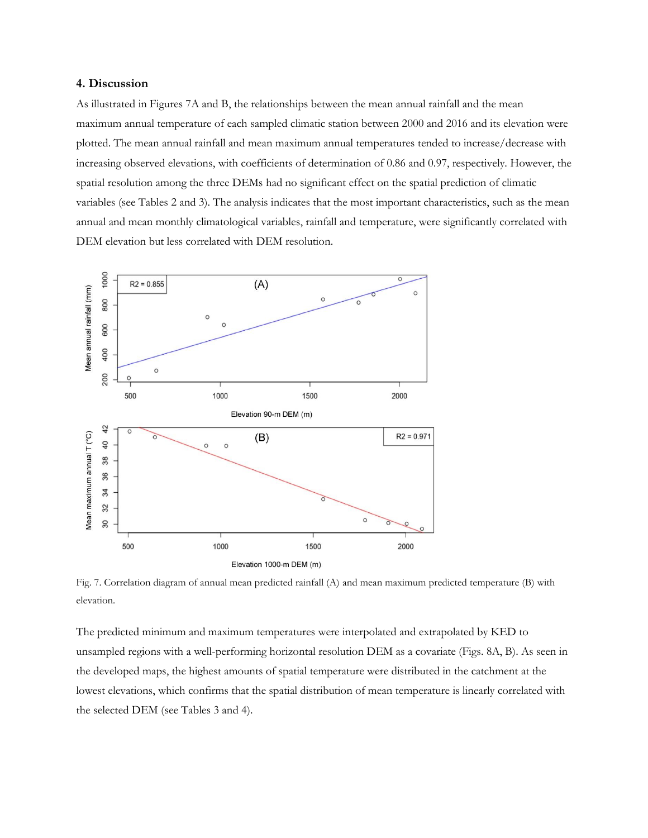#### **4. Discussion**

As illustrated in Figures 7A and B, the relationships between the mean annual rainfall and the mean maximum annual temperature of each sampled climatic station between 2000 and 2016 and its elevation were plotted. The mean annual rainfall and mean maximum annual temperatures tended to increase/decrease with increasing observed elevations, with coefficients of determination of 0.86 and 0.97, respectively. However, the spatial resolution among the three DEMs had no significant effect on the spatial prediction of climatic variables (see Tables 2 and 3). The analysis indicates that the most important characteristics, such as the mean annual and mean monthly climatological variables, rainfall and temperature, were significantly correlated with DEM elevation but less correlated with DEM resolution.



Fig. 7. Correlation diagram of annual mean predicted rainfall (A) and mean maximum predicted temperature (B) with elevation.

The predicted minimum and maximum temperatures were interpolated and extrapolated by KED to unsampled regions with a well-performing horizontal resolution DEM as a covariate (Figs. 8A, B). As seen in the developed maps, the highest amounts of spatial temperature were distributed in the catchment at the lowest elevations, which confirms that the spatial distribution of mean temperature is linearly correlated with the selected DEM (see Tables 3 and 4).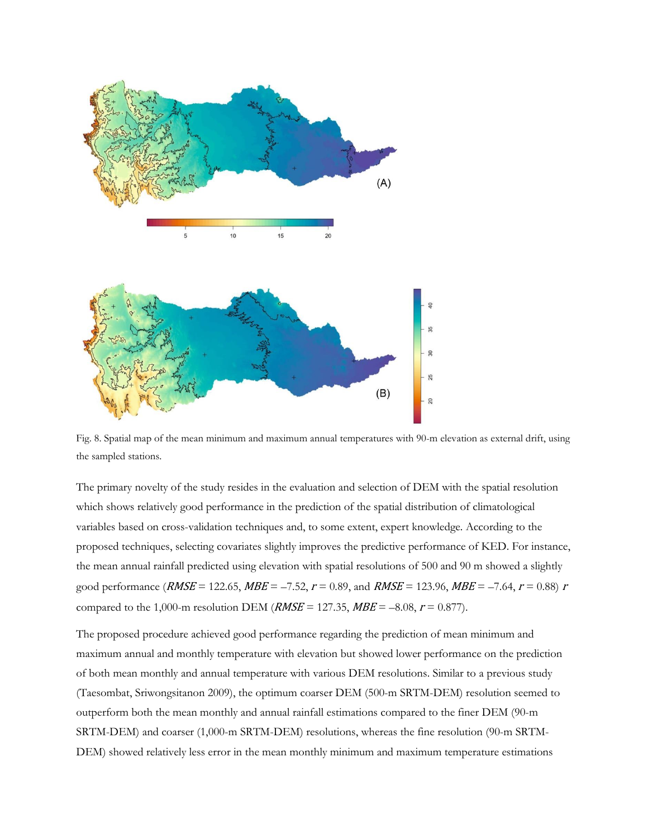

Fig. 8. Spatial map of the mean minimum and maximum annual temperatures with 90-m elevation as external drift, using the sampled stations.

The primary novelty of the study resides in the evaluation and selection of DEM with the spatial resolution which shows relatively good performance in the prediction of the spatial distribution of climatological variables based on cross-validation techniques and, to some extent, expert knowledge. According to the proposed techniques, selecting covariates slightly improves the predictive performance of KED. For instance, the mean annual rainfall predicted using elevation with spatial resolutions of 500 and 90 m showed a slightly good performance (*RMSE* = 122.65, *MBE* = -7.52,  $r = 0.89$ , and *RMSE* = 123.96, *MBE* = -7.64,  $r = 0.88$ ) r compared to the 1,000-m resolution DEM (*RMSE* = 127.35, *MBE* = -8.08,  $r = 0.877$ ).

The proposed procedure achieved good performance regarding the prediction of mean minimum and maximum annual and monthly temperature with elevation but showed lower performance on the prediction of both mean monthly and annual temperature with various DEM resolutions. Similar to a previous study (Taesombat, Sriwongsitanon 2009), the optimum coarser DEM (500-m SRTM-DEM) resolution seemed to outperform both the mean monthly and annual rainfall estimations compared to the finer DEM (90-m SRTM-DEM) and coarser (1,000-m SRTM-DEM) resolutions, whereas the fine resolution (90-m SRTM-DEM) showed relatively less error in the mean monthly minimum and maximum temperature estimations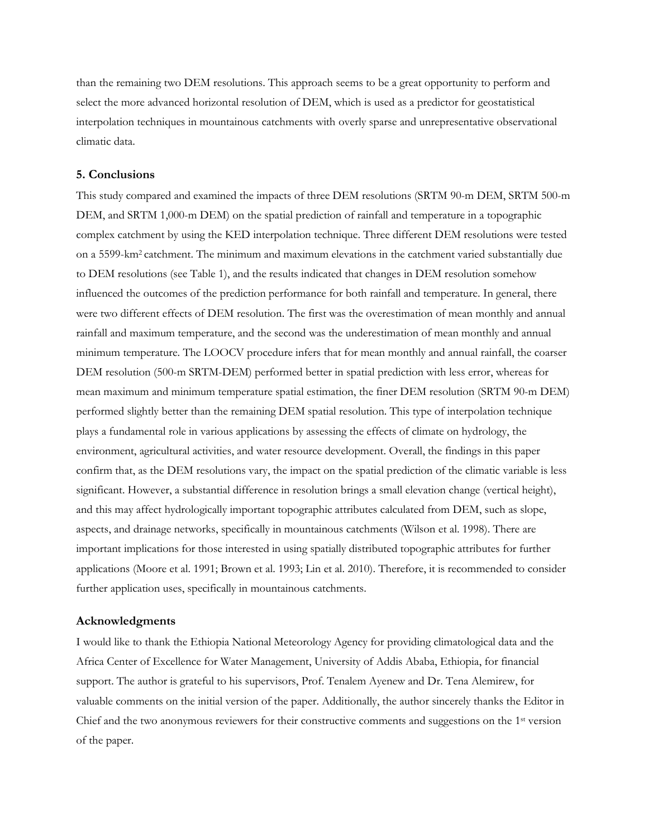than the remaining two DEM resolutions. This approach seems to be a great opportunity to perform and select the more advanced horizontal resolution of DEM, which is used as a predictor for geostatistical interpolation techniques in mountainous catchments with overly sparse and unrepresentative observational climatic data.

## **5. Conclusions**

This study compared and examined the impacts of three DEM resolutions (SRTM 90-m DEM, SRTM 500-m DEM, and SRTM 1,000-m DEM) on the spatial prediction of rainfall and temperature in a topographic complex catchment by using the KED interpolation technique. Three different DEM resolutions were tested on a 5599-km2 catchment. The minimum and maximum elevations in the catchment varied substantially due to DEM resolutions (see Table 1), and the results indicated that changes in DEM resolution somehow influenced the outcomes of the prediction performance for both rainfall and temperature. In general, there were two different effects of DEM resolution. The first was the overestimation of mean monthly and annual rainfall and maximum temperature, and the second was the underestimation of mean monthly and annual minimum temperature. The LOOCV procedure infers that for mean monthly and annual rainfall, the coarser DEM resolution (500-m SRTM-DEM) performed better in spatial prediction with less error, whereas for mean maximum and minimum temperature spatial estimation, the finer DEM resolution (SRTM 90-m DEM) performed slightly better than the remaining DEM spatial resolution. This type of interpolation technique plays a fundamental role in various applications by assessing the effects of climate on hydrology, the environment, agricultural activities, and water resource development. Overall, the findings in this paper confirm that, as the DEM resolutions vary, the impact on the spatial prediction of the climatic variable is less significant. However, a substantial difference in resolution brings a small elevation change (vertical height), and this may affect hydrologically important topographic attributes calculated from DEM, such as slope, aspects, and drainage networks, specifically in mountainous catchments (Wilson et al. 1998). There are important implications for those interested in using spatially distributed topographic attributes for further applications (Moore et al. 1991; Brown et al. 1993; Lin et al. 2010). Therefore, it is recommended to consider further application uses, specifically in mountainous catchments.

#### **Acknowledgments**

I would like to thank the Ethiopia National Meteorology Agency for providing climatological data and the Africa Center of Excellence for Water Management, University of Addis Ababa, Ethiopia, for financial support. The author is grateful to his supervisors, Prof. Tenalem Ayenew and Dr. Tena Alemirew, for valuable comments on the initial version of the paper. Additionally, the author sincerely thanks the Editor in Chief and the two anonymous reviewers for their constructive comments and suggestions on the 1st version of the paper.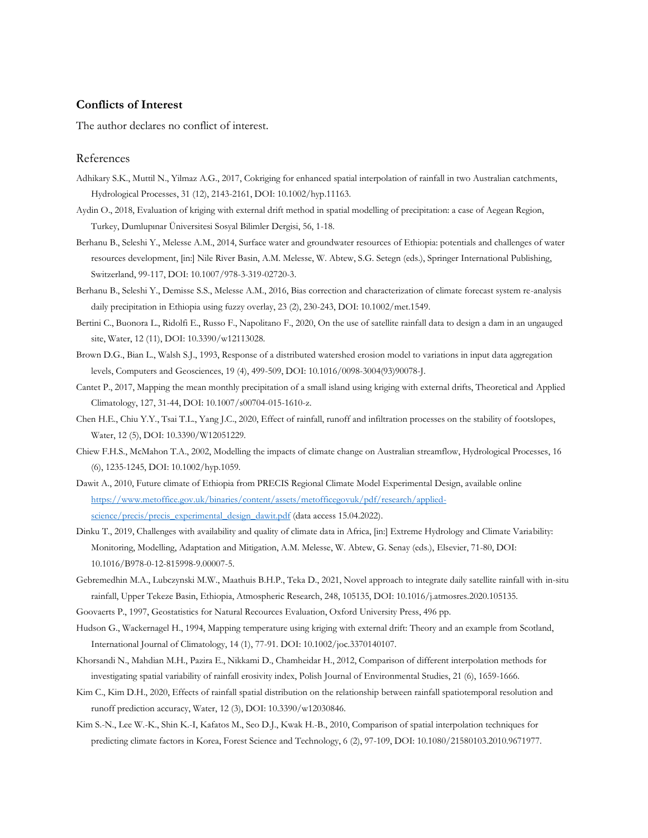# **Conflicts of Interest**

The author declares no conflict of interest.

#### References

- Adhikary S.K., Muttil N., Yilmaz A.G., 2017, Cokriging for enhanced spatial interpolation of rainfall in two Australian catchments, Hydrological Processes, 31 (12), 2143-2161, DOI: 10.1002/hyp.11163.
- Aydin O., 2018, Evaluation of kriging with external drift method in spatial modelling of precipitation: a case of Aegean Region, Turkey, Dumlupınar Üniversitesi Sosyal Bilimler Dergisi, 56, 1-18.
- Berhanu B., Seleshi Y., Melesse A.M., 2014, Surface water and groundwater resources of Ethiopia: potentials and challenges of water resources development, [in:] Nile River Basin, A.M. Melesse, W. Abtew, S.G. Setegn (eds.), Springer International Publishing, Switzerland, 99-117, DOI: 10.1007/978-3-319-02720-3.
- Berhanu B., Seleshi Y., Demisse S.S., Melesse A.M., 2016, Bias correction and characterization of climate forecast system re-analysis daily precipitation in Ethiopia using fuzzy overlay, 23 (2), 230-243, DOI: 10.1002/met.1549.
- Bertini C., Buonora L., Ridolfi E., Russo F., Napolitano F., 2020, On the use of satellite rainfall data to design a dam in an ungauged site, Water, 12 (11), DOI: 10.3390/w12113028.
- Brown D.G., Bian L., Walsh S.J., 1993, Response of a distributed watershed erosion model to variations in input data aggregation levels, Computers and Geosciences, 19 (4), 499-509, DOI: 10.1016/0098-3004(93)90078-J.
- Cantet P., 2017, Mapping the mean monthly precipitation of a small island using kriging with external drifts, Theoretical and Applied Climatology, 127, 31-44, DOI: 10.1007/s00704-015-1610-z.
- Chen H.E., Chiu Y.Y., Tsai T.L., Yang J.C., 2020, Effect of rainfall, runoff and infiltration processes on the stability of footslopes, Water, 12 (5), DOI: 10.3390/W12051229.
- Chiew F.H.S., McMahon T.A., 2002, Modelling the impacts of climate change on Australian streamflow, Hydrological Processes, 16 (6), 1235-1245, DOI: 10.1002/hyp.1059.
- Dawit A., 2010, Future climate of Ethiopia from PRECIS Regional Climate Model Experimental Design, available online [https://www.metoffice.gov.uk/binaries/content/assets/metofficegovuk/pdf/research/applied](https://www.metoffice.gov.uk/binaries/content/assets/metofficegovuk/pdf/research/applied-science/precis/precis_experimental_design_dawit.pdf)[science/precis/precis\\_experimental\\_design\\_dawit.pdf](https://www.metoffice.gov.uk/binaries/content/assets/metofficegovuk/pdf/research/applied-science/precis/precis_experimental_design_dawit.pdf) (data access 15.04.2022).
- Dinku T., 2019, Challenges with availability and quality of climate data in Africa, [in:] Extreme Hydrology and Climate Variability: Monitoring, Modelling, Adaptation and Mitigation, A.M. Melesse, W. Abtew, G. Senay (eds.), Elsevier, 71-80, DOI: 10.1016/B978-0-12-815998-9.00007-5.
- Gebremedhin M.A., Lubczynski M.W., Maathuis B.H.P., Teka D., 2021, Novel approach to integrate daily satellite rainfall with in-situ rainfall, Upper Tekeze Basin, Ethiopia, Atmospheric Research, 248, 105135, DOI: 10.1016/j.atmosres.2020.105135.
- Goovaerts P., 1997, Geostatistics for Natural Recources Evaluation, Oxford University Press, 496 pp.
- Hudson G., Wackernagel H., 1994, Mapping temperature using kriging with external drift: Theory and an example from Scotland, International Journal of Climatology, 14 (1), 77-91. DOI: 10.1002/joc.3370140107.
- Khorsandi N., Mahdian M.H., Pazira E., Nikkami D., Chamheidar H., 2012, Comparison of different interpolation methods for investigating spatial variability of rainfall erosivity index, Polish Journal of Environmental Studies, 21 (6), 1659-1666.
- Kim C., Kim D.H., 2020, Effects of rainfall spatial distribution on the relationship between rainfall spatiotemporal resolution and runoff prediction accuracy, Water, 12 (3), DOI: 10.3390/w12030846.
- Kim S.-N., Lee W.-K., Shin K.-I, Kafatos M., Seo D.J., Kwak H.-B., 2010, Comparison of spatial interpolation techniques for predicting climate factors in Korea, Forest Science and Technology, 6 (2), 97-109, DOI: 10.1080/21580103.2010.9671977.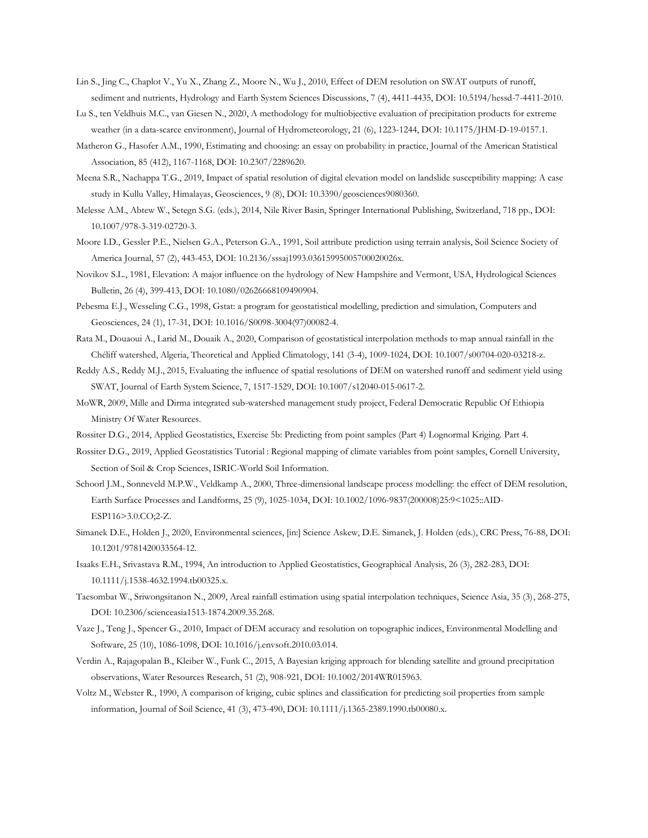- Lin S., Jing C., Chaplot V., Yu X., Zhang Z., Moore N., Wu J., 2010, Effect of DEM resolution on SWAT outputs of runoff, sediment and nutrients, Hydrology and Earth System Sciences Discussions, 7 (4), 4411-4435, DOI: 10.5194/hessd-7-4411-2010.
- Lu S., ten Veldhuis M.C., van Giesen N., 2020, A methodology for multiobjective evaluation of precipitation products for extreme weather (in a data-scarce environment), Journal of Hydrometeorology, 21 (6), 1223-1244, DOI: 10.1175/JHM-D-19-0157.1.
- Matheron G., Hasofer A.M., 1990, Estimating and choosing: an essay on probability in practice, Journal of the American Statistical Association, 85 (412), 1167-1168, DOI: 10.2307/2289620.
- Meena S.R., Nachappa T.G., 2019, Impact of spatial resolution of digital elevation model on landslide susceptibility mapping: A case study in Kullu Valley, Himalayas, Geosciences, 9 (8), DOI: 10.3390/geosciences9080360.
- Melesse A.M., Abtew W., Setegn S.G. (eds.), 2014, Nile River Basin, Springer International Publishing, Switzerland, 718 pp., DOI: 10.1007/978-3-319-02720-3.
- Moore I.D., Gessler P.E., Nielsen G.A., Peterson G.A., 1991, Soil attribute prediction using terrain analysis, Soil Science Society of America Journal, 57 (2), 443-453, DOI: 10.2136/sssaj1993.03615995005700020026x.
- Novikov S.L., 1981, Elevation: A major influence on the hydrology of New Hampshire and Vermont, USA, Hydrological Sciences Bulletin, 26 (4), 399-413, DOI: 10.1080/02626668109490904.
- Pebesma E.J., Wesseling C.G., 1998, Gstat: a program for geostatistical modelling, prediction and simulation, Computers and Geosciences, 24 (1), 17-31, DOI: 10.1016/S0098-3004(97)00082-4.
- Rata M., Douaoui A., Larid M., Douaik A., 2020, Comparison of geostatistical interpolation methods to map annual rainfall in the Chéliff watershed, Algeria, Theoretical and Applied Climatology, 141 (3-4), 1009-1024, DOI: 10.1007/s00704-020-03218-z.
- Reddy A.S., Reddy M.J., 2015, Evaluating the influence of spatial resolutions of DEM on watershed runoff and sediment yield using SWAT, Journal of Earth System Science, 7, 1517-1529, DOI: 10.1007/s12040-015-0617-2.
- MoWR, 2009, Mille and Dirma integrated sub-watershed management study project, Federal Democratic Republic Of Ethiopia Ministry Of Water Resources.
- Rossiter D.G., 2014, Applied Geostatistics, Exercise 5b: Predicting from point samples (Part 4) Lognormal Kriging. Part 4.
- Rossiter D.G., 2019, Applied Geostatistics Tutorial : Regional mapping of climate variables from point samples, Cornell University, Section of Soil & Crop Sciences, ISRIC-World Soil Information.
- Schoorl J.M., Sonneveld M.P.W., Veldkamp A., 2000, Three-dimensional landscape process modelling: the effect of DEM resolution, Earth Surface Processes and Landforms, 25 (9), 1025-1034, DOI: 10.1002/1096-9837(200008)25:9<1025::AID-ESP116>3.0.CO;2-Z.
- Simanek D.E., Holden J., 2020, Environmental sciences, [in:] Science Askew, D.E. Simanek, J. Holden (eds.), CRC Press, 76-88, DOI: 10.1201/9781420033564-12.
- Isaaks E.H., Srivastava R.M., 1994, An introduction to Applied Geostatistics, Geographical Analysis, 26 (3), 282-283, DOI: 10.1111/j.1538-4632.1994.tb00325.x.
- Taesombat W., Sriwongsitanon N., 2009, Areal rainfall estimation using spatial interpolation techniques, Science Asia, 35 (3), 268-275, DOI: 10.2306/scienceasia1513-1874.2009.35.268.
- Vaze J., Teng J., Spencer G., 2010, Impact of DEM accuracy and resolution on topographic indices, Environmental Modelling and Software, 25 (10), 1086-1098, DOI: 10.1016/j.envsoft.2010.03.014.
- Verdin A., Rajagopalan B., Kleiber W., Funk C., 2015, A Bayesian kriging approach for blending satellite and ground precipitation observations, Water Resources Research, 51 (2), 908-921, DOI: 10.1002/2014WR015963.
- Voltz M., Webster R., 1990, A comparison of kriging, cubic splines and classification for predicting soil properties from sample information, Journal of Soil Science, 41 (3), 473-490, DOI: 10.1111/j.1365-2389.1990.tb00080.x.